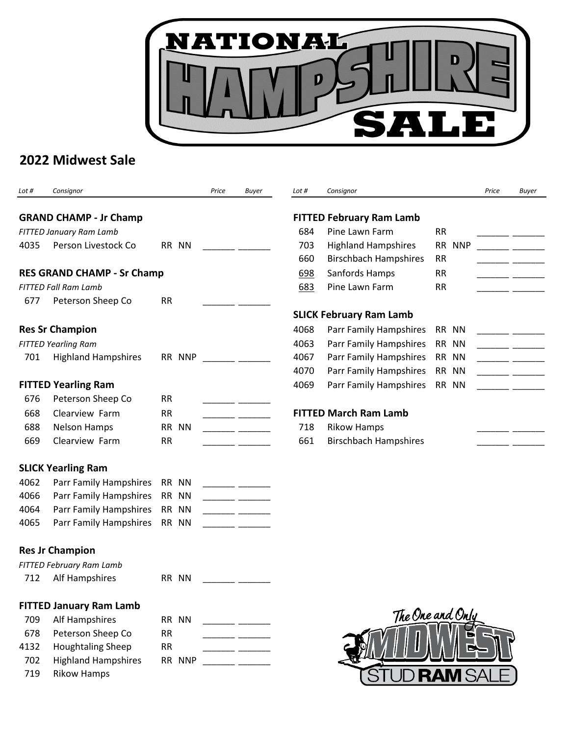

## **2022 Midwest Sale**

| Lot #                             | Consignor                      |                        | Price | <b>Buyer</b> | Lot # | Consignor                       |                         | Price | <b>Buyer</b> |
|-----------------------------------|--------------------------------|------------------------|-------|--------------|-------|---------------------------------|-------------------------|-------|--------------|
|                                   | <b>GRAND CHAMP - Jr Champ</b>  |                        |       |              |       | <b>FITTED February Ram Lamb</b> |                         |       |              |
|                                   | FITTED January Ram Lamb        |                        |       |              | 684   | Pine Lawn Farm                  | <b>RR</b>               |       |              |
| 4035                              | Person Livestock Co            | RR NN                  |       |              | 703   | <b>Highland Hampshires</b>      | <b>RR</b><br><b>NNP</b> |       |              |
|                                   |                                |                        |       |              | 660   | <b>Birschbach Hampshires</b>    | <b>RR</b>               |       |              |
| <b>RES GRAND CHAMP - Sr Champ</b> |                                |                        |       |              | 698   | Sanfords Hamps                  | <b>RR</b>               |       |              |
|                                   | <b>FITTED Fall Ram Lamb</b>    |                        |       |              | 683   | Pine Lawn Farm                  | <b>RR</b>               |       |              |
| 677                               | Peterson Sheep Co              | <b>RR</b>              |       |              |       |                                 |                         |       |              |
|                                   |                                |                        |       |              |       | <b>SLICK February Ram Lamb</b>  |                         |       |              |
|                                   | <b>Res Sr Champion</b>         |                        |       |              | 4068  | Parr Family Hampshires          | RR NN                   |       |              |
|                                   | <b>FITTED Yearling Ram</b>     |                        |       |              | 4063  | Parr Family Hampshires          | RR NN                   |       |              |
| 701                               | <b>Highland Hampshires</b>     | RR NNP                 |       |              | 4067  | Parr Family Hampshires          | RR NN                   |       |              |
|                                   |                                |                        |       |              | 4070  | Parr Family Hampshires          | RR NN                   |       |              |
|                                   | <b>FITTED Yearling Ram</b>     |                        |       |              | 4069  | Parr Family Hampshires          | RR NN                   |       |              |
| 676                               | Peterson Sheep Co              | <b>RR</b>              |       |              |       |                                 |                         |       |              |
| 668                               | Clearview Farm                 | <b>RR</b>              |       |              |       | <b>FITTED March Ram Lamb</b>    |                         |       |              |
| 688                               | <b>Nelson Hamps</b>            | <b>RR</b><br><b>NN</b> |       |              | 718   | <b>Rikow Hamps</b>              |                         |       |              |
| 669                               | Clearview Farm                 | <b>RR</b>              |       |              | 661   | <b>Birschbach Hampshires</b>    |                         |       |              |
|                                   | <b>SLICK Yearling Ram</b>      |                        |       |              |       |                                 |                         |       |              |
| 4062                              | Parr Family Hampshires         | RR NN                  |       |              |       |                                 |                         |       |              |
| 4066                              | Parr Family Hampshires         | RR NN                  |       |              |       |                                 |                         |       |              |
| 4064                              | Parr Family Hampshires         | RR NN                  |       |              |       |                                 |                         |       |              |
| 4065                              | Parr Family Hampshires         | RR NN                  |       |              |       |                                 |                         |       |              |
|                                   | <b>Res Jr Champion</b>         |                        |       |              |       |                                 |                         |       |              |
|                                   | FITTED February Ram Lamb       |                        |       |              |       |                                 |                         |       |              |
| 712                               | Alf Hampshires                 | RR NN                  |       |              |       |                                 |                         |       |              |
|                                   | <b>FITTED January Ram Lamb</b> |                        |       |              |       |                                 |                         |       |              |
| 709                               | Alf Hampshires                 | RR NN                  |       |              |       |                                 | The One and Only        |       |              |
| 678                               | Peterson Sheep Co              | <b>RR</b>              |       |              |       |                                 |                         |       |              |
| 4132                              | <b>Houghtaling Sheep</b>       | RR                     |       |              |       |                                 |                         |       |              |
| 702                               | <b>Highland Hampshires</b>     | RR NNP                 |       |              |       |                                 |                         |       |              |
| 719                               | <b>Rikow Hamps</b>             |                        |       |              |       |                                 | <b>RAM</b> SAI          |       |              |